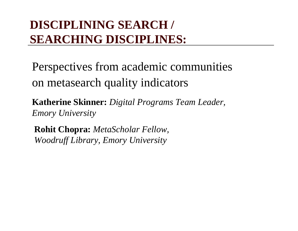### **DISCIPLINING SEARCH / SEARCHING DISCIPLINES:**

Perspectives from academic communities on metasearch quality indicators

**Katherine Skinner:** *Digital Programs Team Leader, Emory University*

**Rohit Chopra:** *MetaScholar Fellow, Woodruff Library, Emory University*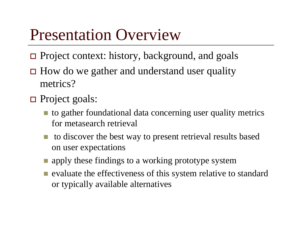## Presentation Overview

- Project context: history, background, and goals
- $\Box$  How do we gather and understand user quality metrics?
- Project goals:
	- to gather foundational data concerning user quality metrics for metasearch retrieval
	- $\blacksquare$  to discover the best way to present retrieval results based on user expectations
	- **n** apply these findings to a working prototype system
	- **E** evaluate the effectiveness of this system relative to standard or typically available alternatives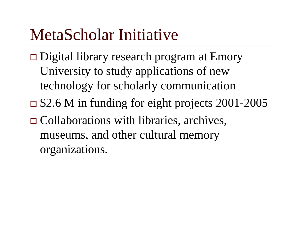## MetaScholar Initiative

- □ Digital library research program at Emory University to study applications of new technology for scholarly communication \$2.6 M in funding for eight projects 2001-2005
- Collaborations with libraries, archives, museums, and other cultural memory organizations.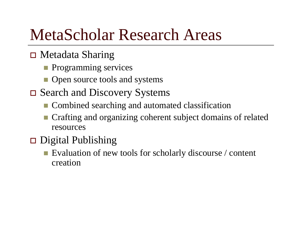## MetaScholar Research Areas

### Metadata Sharing

- **Programming services**
- **Open source tools and systems**
- □ Search and Discovery Systems
	- Combined searching and automated classification
	- Crafting and organizing coherent subject domains of related resources

#### $\Box$ Digital Publishing

Evaluation of new tools for scholarly discourse / content creation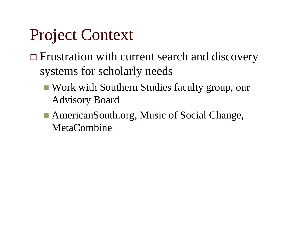## Project Context

- **□** Frustration with current search and discovery systems for scholarly needs
	- Work with Southern Studies faculty group, our Advisory Board
	- AmericanSouth.org, Music of Social Change, **MetaCombine**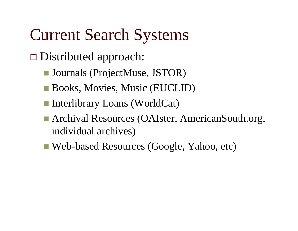## Current Search Systems

- □ Distributed approach:
	- Journals (ProjectMuse, JSTOR)
	- Books, Movies, Music (EUCLID)
	- Interlibrary Loans (WorldCat)
	- Archival Resources (OAIster, AmericanSouth.org, individual archives)
	- Web-based Resources (Google, Yahoo, etc)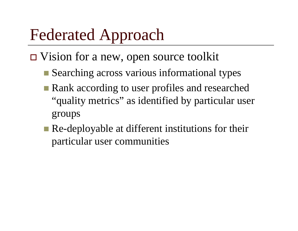# Federated Approach

- □ Vision for a new, open source toolkit
	- Searching across various informational types
	- **Rank according to user profiles and researched** "quality metrics" as identified by particular user groups
	- **Re-deployable at different institutions for their** particular user communities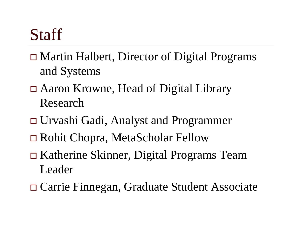## **Staff**

- Martin Halbert, Director of Digital Programs and Systems
- Aaron Krowne, Head of Digital Library Research
- Urvashi Gadi, Analyst and Programmer
- Rohit Chopra, MetaScholar Fellow
- Katherine Skinner, Digital Programs Team Leader
- Carrie Finnegan, Graduate Student Associate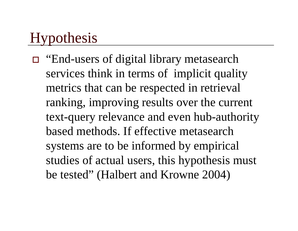### Hypothesis

□ "End-users of digital library metasearch services think in terms of implicit quality metrics that can be respected in retrieval ranking, improving results over the current text-query relevance and even hub-authority based methods. If effective metasearchsystems are to be informed by empirical studies of actual users, this hypothesis must be tested" (Halbert and Krowne 2004)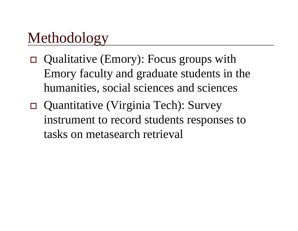### Methodology

- Qualitative (Emory): Focus groups with Emory faculty and graduate students in the humanities, social sciences and sciences
- Quantitative (Virginia Tech): Survey instrument to record students responses to tasks on metasearch retrieval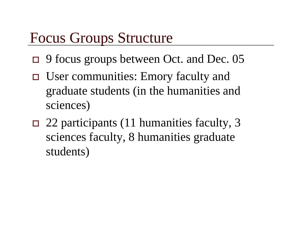### Focus Groups Structure

- $\Box$ 9 focus groups between Oct. and Dec. 05
- User communities: Emory faculty and graduate students (in the humanities and sciences)
- $\Box$  22 participants (11 humanities faculty, 3 sciences faculty, 8 humanities graduate students)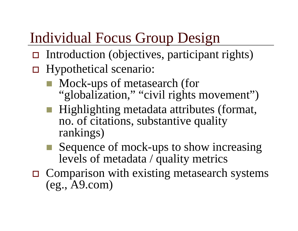### Individual Focus Group Design

- □ Introduction (objectives, participant rights)
- □ Hypothetical scenario:
	- Mock-ups of metasearch (for "globalization," "civil rights movement")
	- Highlighting metadata attributes (format, no. of citations, substantive quality rankings)
	- Sequence of mock-ups to show increasing levels of metadata / quality metrics
- $\Box$  Comparison with existing metasearch systems (eg., A9.com)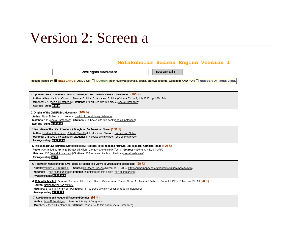### Version 2: Screen a

#### MetaScholar Search Engine Version 1

civil rights movement

search

Results sorted by **ERELEVANCE AND / OR FL DOMAIN (peer-reviewed journals, books, archival records, websites) AND / OR FL NUMBER OF TIMES CITED** 

1. Upon this Rock: The Black Church, Civil Rights and the Non-Violence Movement (100 %)

Author: Allison Calhoun-Brown Source: Political Science and Politics (Volume 33, no 2, July 2000, pp. 168-174)

Matches: 223 (see all instances) LCitations: 121 articles cite this article (see all instances)

Average rating: 22.23

#### 2. Origins of the Civil Rights Movement (100 %)

Author: Aldon D. Morris Source: Euclid - Emory Library Database

Matches: 111 (see all instances) | Citations: 255 books cite this book (see all instances)

Average rating: NEW

3. Narrative of the Life of Frederick Douglass: An American Slave (100 %)

Author: Frederick Douglass; Robert O' Meally (Introduction) Source: Barnes and Noble Matches: 245 (see all instances) | Citations: 117 books cite this book (see all instances) Average rating: A ATA A

4. The Modern Civil Rights Movement: Federal Records in the National Archives and Records Administration (100 %)

Author: Compiled by Amanda Bylczynski, Glenn Longacre, and Martin Tuohy Source: National Archives (NARA)

Matches: 135 (see all instances) | Citations: 235 sources cite this collection (see all instances)

**Average rating: 23 23** 

5. Television News and the Civil Rights Struggle: The Views in Virginia and Mississippi (99 %)

Author: William G. Thomas -III Source: Southern Spaces (November 3, 2004, http://southernspaces.org/contents/williamthomas.htm)

Matches: 3 (see all instances) | Citations: 15 articles cite this article (see all instances)

Average rating: ★★★★★

6. Voting Rights Act: General Records of the United States Government: Record Group 11: National Archives, August 6 1965: Public law 89-110 (99 %).

Source: National Archives (NARA)

Matches: 2 (see all instances) | Citations: 117 sources cite this collection (see all instances)

Average rating

7. Abolitionism and Issues of Race and Gender (98 %) Author: John R. McKivigan Source: Library of Congress

Matches: 7 (see all instances) | Citations: 82 books cite this book (see all instances)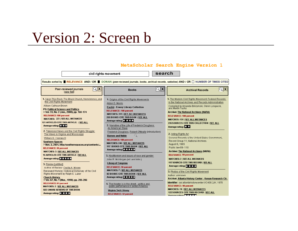### Version 2: Screen b

#### MetaScholar Search Engine Version 1

search civil rights movement Results sorted by **RELEVANCE AND / OR DOMAIN (peer-reviewed journals, books, archival records, websites) AND / OR TNUMBER OF TIMES CITED**  $\boxed{\mathbf{Q}|\mathbf{X}}$  $Q$   $\mathbf{X}$  $\mathsf{Q}|\mathbf{X}$ Peer-reviewed iournals **Books Archival Records** (see list) 1. Upon This Rock: The Black Church, Nonviolence, and 1. Origins of the Civil Rights Movements 1. The Modern Civil Rights Movement: Federal Records the Civil Rights Movement in the National Archives and Records Administration Aldon D. Morris Allison Calbour-Brown Compiled by Amanda Bylczynski, Glenn Londacre, **Euclid - Emory Library Collection** and Martin Tuehy **PS: Political Science and Politics** RELEVANCE: 100 nercent > Vol. 33, No. 2 (Jun., 2000), pp. 168-174 **Archive: The National Archives (NARA)** MATCHES: 111 | SEE ALL INSTANCES **RELEVANCE: 100 percent RELEVANCE: 100 percent** 255 BOOKS CITE THIS BOOK I SEE ALL **MATCHES: 223 | SEE ALL INSTANCES MATCHES: 135 | SEE ALL INSTANCES** Average rating: No. 3. 4. 4. 121 ARTICLES CITE THIS ARTICLE: | SEE ALL 235 SOURCES CITE THIS COLLECTION | SEE ALL 2. Narrative of the Life of Frederick Douglass: Average rating: **Average ration:** An American Slave 2. Television News and the Civil Rights Struggle: Frederick Douglass, Robert O'Meally (introduction) The Views in Virginia and Mississippi 2. Voting Rights Act Q **Barnes and Noble** William G. Thomas III General Records of the United States Government **RFI FVANCE: 100 nercent** Record Group 11: National Archives. **Southern Spaces MATCHES: 245 | SEE ALL INSTANCES** August 6, 1965 > Nov. 3, 2004, http://southernspaces.org/contents/... 117 BOOKS CITE THIS BOOK | SEE ALL Public law 89-110 **RELEVANCE: 99 percent** Average rating: A LA LA LA **MATCHES: 3 | SEE ALL INSTANCES Archive: The National Archives (NARA) 15 ARTICLES CITE THIS ARTICLE | SEE ALL RELEVANCE: 99 percent** 3. Abolitionism and issues of race and gender Average rating: \*\*\*\*\*\*\* MATCHES: 2 | SEE ALL INSTANCES John R. McKivigan (ed. and intro.) 117 SOURCES CITE THIS RECORD LSEE ALL **Library of Congress** 3. Review (untitled) Average rating: TAX **RELEVANCE: 98 percent** Author of Review, Cecilia A. Moore **MATCHES: 7 | SEE ALL INSTANCES** Reviewed Work(s): Historical Dictionary of the Civil 3. Photos of the Civil Rights Movement Rights Movement by Ralph E. Luker 82 BOOKS CITE THIS BOOK | SEE ALL Author: unknown **Church History** Average rating: ATA ATA Archive: Atlanta History Center - Kenan Research Ctr. > Vol. 67, No. 1 (Mar., 1998), pp. 205-206 Identifier: naitatlantahistorycenter:UC400.2.IK 1970-**RELEVANCE: 94 percent** 4. The theater is in the street : politics and<br>public performance in sixties America **RELEVANCE: 90 percent MATCHES: 2 | SEE ALL INSTANCES MATCHES: 19 | SEE ALL INSTANCES** SEE 5 MORE REVIEWS OF THIS BOOK Virginia Tech Library 122 SOURCES CITE THIS RECORD | SEE ALL Average rating: x x x x x **RELEVANCE: 92 percent** Andreas and analysis are the second second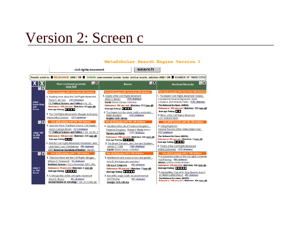### Version 2: Screen c

#### search civil rights movement Results sorted by **RELEVANCE AND / OR RE** DOMAIN (peer-reviewed journals, books, archival records, websites) AND / OR RENUMBER OF TIMES CITED । या प्र  $|X|X$  $\Box X$  $\overline{\mathsf{Q}}$ x Peer-reviewed journals **Books Archival Records** (see list)  $\overline{\mathbf{a}}$ See all 44 articles with more than 200 citations See all 96 books with more than 200 citations See all 45 records with more than 200 citations 1. Origins of the Civil Rights Movement 1. The Modern Civil Rights Movement: Federal.. 1. Reading more about the Civil Rights Movement. (255 citations) Aldon D. Moriss Compiled by Amanda Bylczynski, Glenn Paula D. McClain (241 citations) Longacre, and Amanda Tuohy (235 citations) cited Euclid: Emory Library Collection PS: Political Science and Politics > Vol. 30... more than Relevance: 100 percent | Matches: 111 (see all) The National Archives (NARA) Relevance: 100 percent | Matches: 42 (see all) 200 Relevance: 100 percent | Matches: 135 (see all) Average Rating: 2007 times Average Rating: A A A A Average Rating: 23-23 2. The theater is in the street, politics and public.... 2. The Civil Rights Movement's Struggle for Employ 2. Music of the Civil Rights Movement Martin Bradford (219 citations) Wayne Arthur Santoro (273 citations) Virginia Tech Library LOC research team  $\overline{\mathbf{X}}$ See all 89 articles with 100-200 citations See all 134 books with 100-200 citations See all 88 records with 100-200 citations 1. Unon this Rock: The Black Church, Civil Rights 1. Narrative of the Life of Frederick Douglass.... 1. Voting Rights Act Alison Calhoun-Brown (121 citations) General Records of the United States Govt... Frederick Douglass; Robert O'Meally (intro.) PS: Political Science and Politics > Vol. 33, No. 2 cited 100<br>to 200 (117 citations) **Barnes and Noble** (117 citations) Relevance: 100 percent | Matches: 223 (see all) The National Archives (NARA) Relevance: 100 percent | Matches: 245 (see all) times Average Rating: 7777 Relevance: 99 percent | Matches: 2 (see all) Average Rating: A A A A A Average Rating: 25 33 33 2. How the Civil Rights Movement Revitalized Labor. 2. The Brown Decision, Jim Crow and Southern... Larry Isaac: Lars Christiansen (99 citations) James C. Cobb (104 citations) 2. Photos of the Civil Rights Movement Author (unknown) (122 citations) ASR: American Sociological Review> Vol. 67 Euclid: Emory Library Collection See all 134 records with 1-100 citations  $\mathsf{Q}[\mathsf{X}]$ See all 219 articles with 1-100 citations See all 134 books with 1-100 citations 1. A journalist's notes on the civil rights movemen 1. Televsion News and the Civil Rights Struggle... 1. Abolitionism and issues of race and gender.... Karl Fleming (88 citations) William G. Thomas III (15 citations) John R. McKivigan (ed. and intro.) **MARBL:** Emory Library Archives Southern Spaces > Vol 3, November 2004; URL: (82 citations) **Library of Congress** Relevance: 100 percent | Matches: 106 (see all) cited 1 Relevance: 99 percent | Matches: 3 (see all) Average Rating: **ALLACE** Relevance: 98 percent | Matches: 7 (see all) to 100 Average Rating: 2006.000 Average Rating: 2004 2005 2. Handwritten Copy of Dr. King Speech, Aug 21 times Dr. Martin Luther King Jr. (85 citations) 2. Son of the rough south: an uncivil memoir 2. A retrospective on the civil rights movement The National Archives (NARA) (54 citations) Karl Fleming (67 citations) Aldon D. Moriss Relevance: 100 percent Livatches: 106 (see all) Annual Review of Sociology > Vol. 25 (1999), pp. Georgia Tech. Library

MetaScholar Search Engine Version 1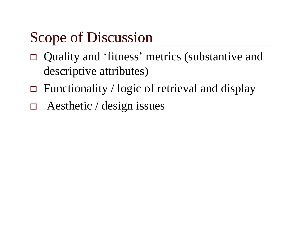### Scope of Discussion

- Quality and 'fitness' metrics (substantive and descriptive attributes)
- Functionality / logic of retrieval and display
- $\Box$ Aesthetic / design issues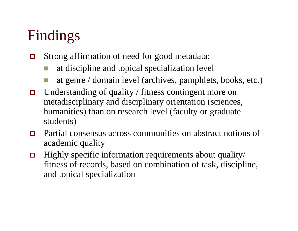## Findings

- $\Box$  Strong affirmation of need for good metadata:
	- at discipline and topical specialization level
	- at genre / domain level (archives, pamphlets, books, etc.)
- $\Box$  Understanding of quality / fitness contingent more on metadisciplinary and disciplinary orientation (sciences, humanities) than on research level (faculty or graduate students)
- $\Box$  Partial consensus across communities on abstract notions of academic quality
- $\Box$  Highly specific information requirements about quality/ fitness of records, based on combination of task, discipline, and topical specialization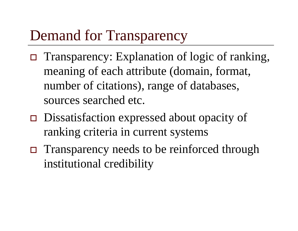### Demand for Transparency

- Transparency: Explanation of logic of ranking, meaning of each attribute (domain, format, number of citations), range of databases, sources searched etc.
- □ Dissatisfaction expressed about opacity of ranking criteria in current systems
- □ Transparency needs to be reinforced through institutional credibility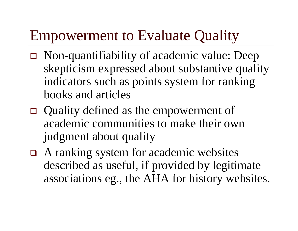### Empowerment to Evaluate Quality

- Non-quantifiability of academic value: Deep skepticism expressed about substantive quality indicators such as points system for ranking books and articles
- Quality defined as the empowerment of academic communities to make their own judgment about quality
- □ A ranking system for academic websites described as useful, if provided by legitimate associations eg., the AHA for history websites.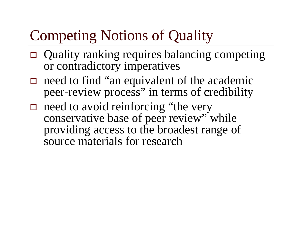## Competing Notions of Quality

- Quality ranking requires balancing competing or contradictory imperatives
- $\Box$  need to find "an equivalent of the academic peer-review process" in terms of credibility
- $\Box$  need to avoid reinforcing "the very conservative base of peer review" while providing access to the broadest range of source materials for research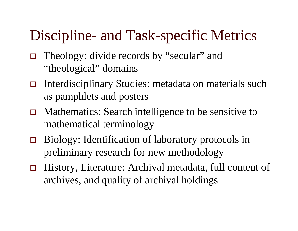### Discipline- and Task-specific Metrics

- Theology: divide records by "secular" and "theological" domains
- $\Box$  Interdisciplinary Studies: metadata on materials such as pamphlets and posters
- $\Box$  Mathematics: Search intelligence to be sensitive to mathematical terminology
- $\Box$  Biology: Identification of laboratory protocols in preliminary research for new methodology
- $\Box$  History, Literature: Archival metadata, full content of archives, and quality of archival holdings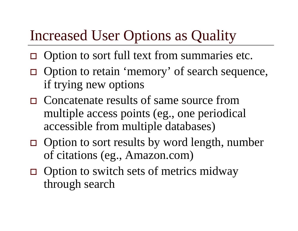## Increased User Options as Quality

- $\Box$  Option to sort full text from summaries etc.
- □ Option to retain 'memory' of search sequence, if trying new options
- □ Concatenate results of same source from multiple access points (eg., one periodical accessible from multiple databases)
- $\Box$  Option to sort results by word length, number of citations (eg., Amazon.com)
- $\Box$  Option to switch sets of metrics midway through search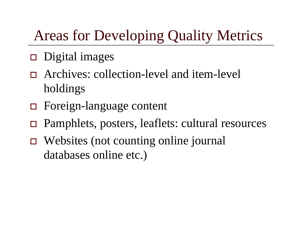## Areas for Developing Quality Metrics

- $\Box$  Digital images
- Archives: collection-level and item-level holdings
- Foreign-language content
- $\Box$ Pamphlets, posters, leaflets: cultural resources
- Websites (not counting online journal databases online etc.)